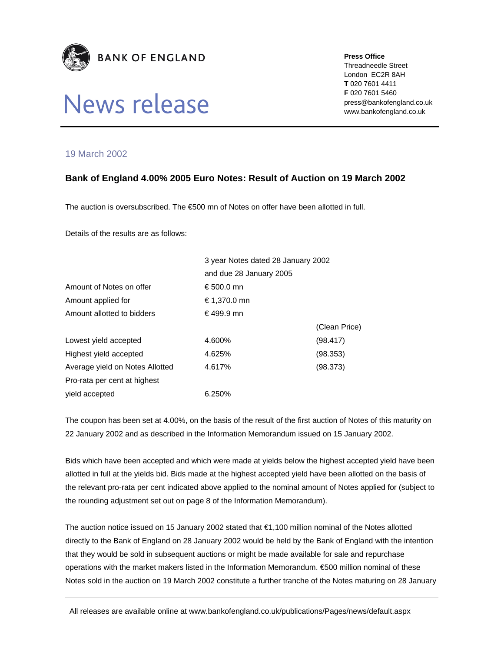

## News release

**Press Office** 

Threadneedle Street London EC2R 8AH **T** 020 7601 4411 **F** 020 7601 5460 press@bankofengland.co.uk www.bankofengland.co.uk

## 19 March 2002

## **Bank of England 4.00% 2005 Euro Notes: Result of Auction on 19 March 2002**

The auction is oversubscribed. The €500 mn of Notes on offer have been allotted in full.

Details of the results are as follows:

|                                 | 3 year Notes dated 28 January 2002<br>and due 28 January 2005 |               |
|---------------------------------|---------------------------------------------------------------|---------------|
|                                 |                                                               |               |
| Amount of Notes on offer        | € 500.0 mn                                                    |               |
| Amount applied for              | € 1,370.0 mn                                                  |               |
| Amount allotted to bidders      | €499.9 mn                                                     |               |
|                                 |                                                               | (Clean Price) |
| Lowest yield accepted           | 4.600%                                                        | (98.417)      |
| Highest yield accepted          | 4.625%                                                        | (98.353)      |
| Average yield on Notes Allotted | 4.617%                                                        | (98.373)      |
| Pro-rata per cent at highest    |                                                               |               |
| yield accepted                  | 6.250%                                                        |               |

The coupon has been set at 4.00%, on the basis of the result of the first auction of Notes of this maturity on 22 January 2002 and as described in the Information Memorandum issued on 15 January 2002.

Bids which have been accepted and which were made at yields below the highest accepted yield have been allotted in full at the yields bid. Bids made at the highest accepted yield have been allotted on the basis of the relevant pro-rata per cent indicated above applied to the nominal amount of Notes applied for (subject to the rounding adjustment set out on page 8 of the Information Memorandum).

The auction notice issued on 15 January 2002 stated that €1,100 million nominal of the Notes allotted directly to the Bank of England on 28 January 2002 would be held by the Bank of England with the intention that they would be sold in subsequent auctions or might be made available for sale and repurchase operations with the market makers listed in the Information Memorandum. €500 million nominal of these Notes sold in the auction on 19 March 2002 constitute a further tranche of the Notes maturing on 28 January